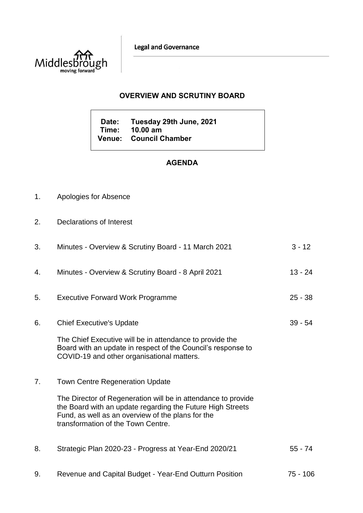**Legal and Governance** 



# **OVERVIEW AND SCRUTINY BOARD**

**Date: Tuesday 29th June, 2021 Time: 10.00 am Venue: Council Chamber**

# **AGENDA**

- 1. Apologies for Absence
- 2. Declarations of Interest

| 3. | Minutes - Overview & Scrutiny Board - 11 March 2021                                                                                                                                                                    | $3 - 12$  |
|----|------------------------------------------------------------------------------------------------------------------------------------------------------------------------------------------------------------------------|-----------|
| 4. | Minutes - Overview & Scrutiny Board - 8 April 2021                                                                                                                                                                     | $13 - 24$ |
| 5. | <b>Executive Forward Work Programme</b>                                                                                                                                                                                | $25 - 38$ |
| 6. | <b>Chief Executive's Update</b>                                                                                                                                                                                        | $39 - 54$ |
|    | The Chief Executive will be in attendance to provide the<br>Board with an update in respect of the Council's response to<br>COVID-19 and other organisational matters.                                                 |           |
| 7. | <b>Town Centre Regeneration Update</b>                                                                                                                                                                                 |           |
|    | The Director of Regeneration will be in attendance to provide<br>the Board with an update regarding the Future High Streets<br>Fund, as well as an overview of the plans for the<br>transformation of the Town Centre. |           |
| 8. | Strategic Plan 2020-23 - Progress at Year-End 2020/21                                                                                                                                                                  | $55 - 74$ |
| 9. | Revenue and Capital Budget - Year-End Outturn Position                                                                                                                                                                 | 75 - 106  |